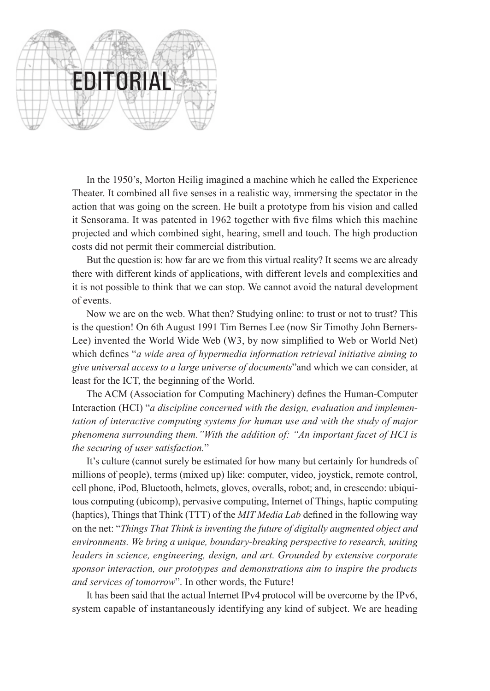

In the 1950's, Morton Heilig imagined a machine which he called the Experience Theater. It combined all five senses in a realistic way, immersing the spectator in the action that was going on the screen. He built a prototype from his vision and called it Sensorama. It was patented in 1962 together with five films which this machine projected and which combined sight, hearing, smell and touch. The high production costs did not permit their commercial distribution.

But the question is: how far are we from this virtual reality? It seems we are already there with different kinds of applications, with different levels and complexities and it is not possible to think that we can stop. We cannot avoid the natural development of events.

Now we are on the web. What then? Studying online: to trust or not to trust? This is the question! On 6th August 1991 Tim Bernes Lee (now Sir Timothy John Berners-Lee) invented the World Wide Web (W3, by now simplified to Web or World Net) which defines "*a wide area of hypermedia information retrieval initiative aiming to give universal access to a large universe of documents*"and which we can consider, at least for the ICT, the beginning of the World.

The ACM (Association for Computing Machinery) defines the Human-Computer Interaction (HCI) "*a discipline concerned with the design, evaluation and implementation of interactive computing systems for human use and with the study of major phenomena surrounding them."With the addition of: "An important facet of HCI is the securing of user satisfaction.*"

It's culture (cannot surely be estimated for how many but certainly for hundreds of millions of people), terms (mixed up) like: computer, video, joystick, remote control, cell phone, iPod, Bluetooth, helmets, gloves, overalls, robot; and, in crescendo: ubiquitous computing (ubicomp), pervasive computing, Internet of Things, haptic computing (haptics), Things that Think (TTT) of the *MIT Media Lab* defined in the following way on the net: "*Things That Think is inventing the future of digitally augmented object and environments. We bring a unique, boundary-breaking perspective to research, uniting leaders in science, engineering, design, and art. Grounded by extensive corporate sponsor interaction, our prototypes and demonstrations aim to inspire the products and services of tomorrow*". In other words, the Future!

It has been said that the actual Internet IPv4 protocol will be overcome by the IPv6, system capable of instantaneously identifying any kind of subject. We are heading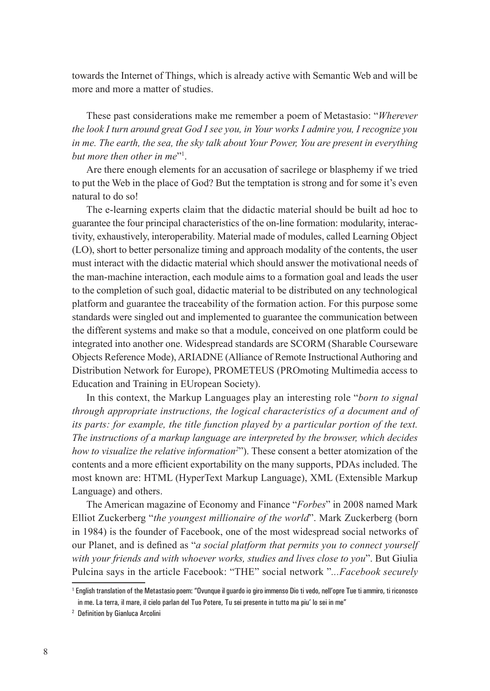towards the Internet of Things, which is already active with Semantic Web and will be more and more a matter of studies.

These past considerations make me remember a poem of Metastasio: "*Wherever the look I turn around great God I see you, in Your works I admire you, I recognize you in me. The earth, the sea, the sky talk about Your Power, You are present in everything but more then other in me*"1 .

Are there enough elements for an accusation of sacrilege or blasphemy if we tried to put the Web in the place of God? But the temptation is strong and for some it's even natural to do so!

The e-learning experts claim that the didactic material should be built ad hoc to guarantee the four principal characteristics of the on-line formation: modularity, interactivity, exhaustively, interoperability. Material made of modules, called Learning Object (LO), short to better personalize timing and approach modality of the contents, the user must interact with the didactic material which should answer the motivational needs of the man-machine interaction, each module aims to a formation goal and leads the user to the completion of such goal, didactic material to be distributed on any technological platform and guarantee the traceability of the formation action. For this purpose some standards were singled out and implemented to guarantee the communication between the different systems and make so that a module, conceived on one platform could be integrated into another one. Widespread standards are SCORM (Sharable Courseware Objects Reference Mode), ARIADNE (Alliance of Remote Instructional Authoring and Distribution Network for Europe), PROMETEUS (PROmoting Multimedia access to Education and Training in EUropean Society).

In this context, the Markup Languages play an interesting role "*born to signal through appropriate instructions, the logical characteristics of a document and of its parts: for example, the title function played by a particular portion of the text. The instructions of a markup language are interpreted by the browser, which decides*  how to visualize the relative information<sup>2</sup><sup>2</sup>. These consent a better atomization of the contents and a more efficient exportability on the many supports, PDAs included. The most known are: HTML (HyperText Markup Language), XML (Extensible Markup Language) and others.

The American magazine of Economy and Finance "*Forbes*" in 2008 named Mark Elliot Zuckerberg "*the youngest millionaire of the world*". Mark Zuckerberg (born in 1984) is the founder of Facebook, one of the most widespread social networks of our Planet, and is defined as "*a social platform that permits you to connect yourself with your friends and with whoever works, studies and lives close to you*". But Giulia Pulcina says in the article Facebook: "THE" social network "*...Facebook securely* 

<sup>1</sup> English translation of the Metastasio poem: "Ovunque il guardo io giro immenso Dio ti vedo, nell'opre Tue ti ammiro, ti riconosco in me. La terra, il mare, il cielo parlan del Tuo Potere, Tu sei presente in tutto ma piu' lo sei in me"

<sup>2</sup> Definition by Gianluca Arcolini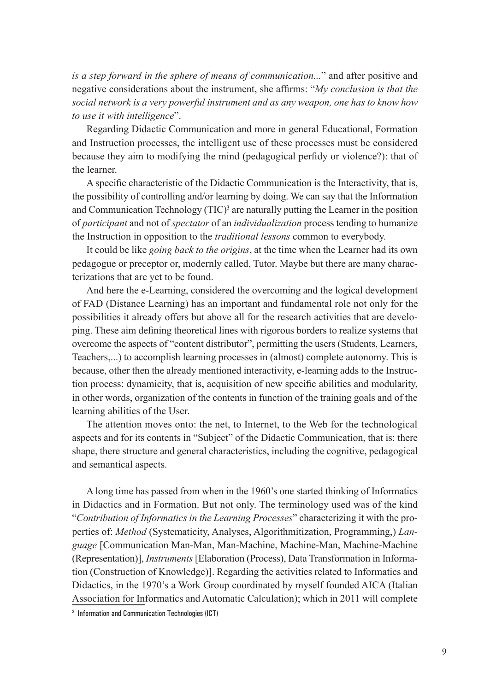*is a step forward in the sphere of means of communication...*" and after positive and negative considerations about the instrument, she affirms: "*My conclusion is that the social network is a very powerful instrument and as any weapon, one has to know how to use it with intelligence*".

Regarding Didactic Communication and more in general Educational, Formation and Instruction processes, the intelligent use of these processes must be considered because they aim to modifying the mind (pedagogical perfidy or violence?): that of the learner.

A specific characteristic of the Didactic Communication is the Interactivity, that is, the possibility of controlling and/or learning by doing. We can say that the Information and Communication Technology  $(TIC)^3$  are naturally putting the Learner in the position of *participant* and not of *spectator* of an *individualization* process tending to humanize the Instruction in opposition to the *traditional lessons* common to everybody.

It could be like *going back to the origins*, at the time when the Learner had its own pedagogue or preceptor or, modernly called, Tutor. Maybe but there are many characterizations that are yet to be found.

And here the e-Learning, considered the overcoming and the logical development of FAD (Distance Learning) has an important and fundamental role not only for the possibilities it already offers but above all for the research activities that are developing. These aim defining theoretical lines with rigorous borders to realize systems that overcome the aspects of "content distributor", permitting the users (Students, Learners, Teachers,...) to accomplish learning processes in (almost) complete autonomy. This is because, other then the already mentioned interactivity, e-learning adds to the Instruction process: dynamicity, that is, acquisition of new specific abilities and modularity, in other words, organization of the contents in function of the training goals and of the learning abilities of the User.

The attention moves onto: the net, to Internet, to the Web for the technological aspects and for its contents in "Subject" of the Didactic Communication, that is: there shape, there structure and general characteristics, including the cognitive, pedagogical and semantical aspects.

A long time has passed from when in the 1960's one started thinking of Informatics in Didactics and in Formation. But not only. The terminology used was of the kind "*Contribution of Informatics in the Learning Processes*" characterizing it with the properties of: *Method* (Systematicity, Analyses, Algorithmitization, Programming,) *Language* [Communication Man-Man, Man-Machine, Machine-Man, Machine-Machine (Representation)], *Instruments* [Elaboration (Process), Data Transformation in Information (Construction of Knowledge)]. Regarding the activities related to Informatics and Didactics, in the 1970's a Work Group coordinated by myself founded AICA (Italian Association for Informatics and Automatic Calculation); which in 2011 will complete

<sup>3</sup> Information and Communication Technologies (ICT)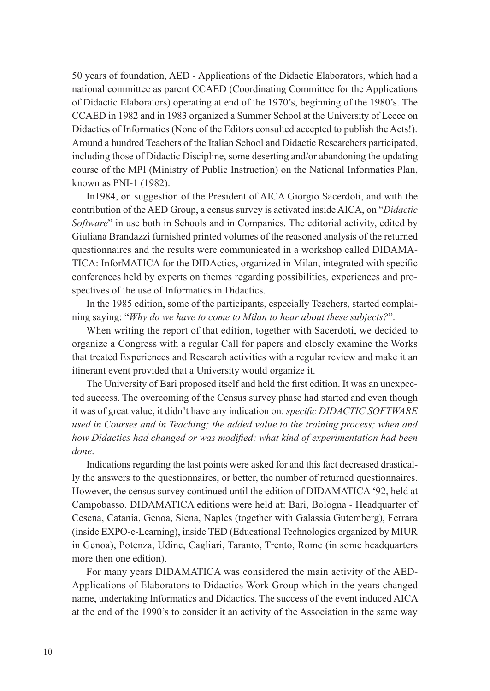50 years of foundation, AED - Applications of the Didactic Elaborators, which had a national committee as parent CCAED (Coordinating Committee for the Applications of Didactic Elaborators) operating at end of the 1970's, beginning of the 1980's. The CCAED in 1982 and in 1983 organized a Summer School at the University of Lecce on Didactics of Informatics (None of the Editors consulted accepted to publish the Acts!). Around a hundred Teachers of the Italian School and Didactic Researchers participated, including those of Didactic Discipline, some deserting and/or abandoning the updating course of the MPI (Ministry of Public Instruction) on the National Informatics Plan, known as PNI-1 (1982).

In1984, on suggestion of the President of AICA Giorgio Sacerdoti, and with the contribution of the AED Group, a census survey is activated inside AICA, on "*Didactic Software*" in use both in Schools and in Companies. The editorial activity, edited by Giuliana Brandazzi furnished printed volumes of the reasoned analysis of the returned questionnaires and the results were communicated in a workshop called DIDAMA-TICA: InforMATICA for the DIDActics, organized in Milan, integrated with specific conferences held by experts on themes regarding possibilities, experiences and prospectives of the use of Informatics in Didactics.

In the 1985 edition, some of the participants, especially Teachers, started complaining saying: "*Why do we have to come to Milan to hear about these subjects?*".

When writing the report of that edition, together with Sacerdoti, we decided to organize a Congress with a regular Call for papers and closely examine the Works that treated Experiences and Research activities with a regular review and make it an itinerant event provided that a University would organize it.

The University of Bari proposed itself and held the first edition. It was an unexpected success. The overcoming of the Census survey phase had started and even though it was of great value, it didn't have any indication on: *specific DIDACTIC SOFTWARE used in Courses and in Teaching; the added value to the training process; when and how Didactics had changed or was modified; what kind of experimentation had been done*.

Indications regarding the last points were asked for and this fact decreased drastically the answers to the questionnaires, or better, the number of returned questionnaires. However, the census survey continued until the edition of DIDAMATICA '92, held at Campobasso. DIDAMATICA editions were held at: Bari, Bologna - Headquarter of Cesena, Catania, Genoa, Siena, Naples (together with Galassia Gutemberg), Ferrara (inside EXPO-e-Learning), inside TED (Educational Technologies organized by MIUR in Genoa), Potenza, Udine, Cagliari, Taranto, Trento, Rome (in some headquarters more then one edition).

For many years DIDAMATICA was considered the main activity of the AED-Applications of Elaborators to Didactics Work Group which in the years changed name, undertaking Informatics and Didactics. The success of the event induced AICA at the end of the 1990's to consider it an activity of the Association in the same way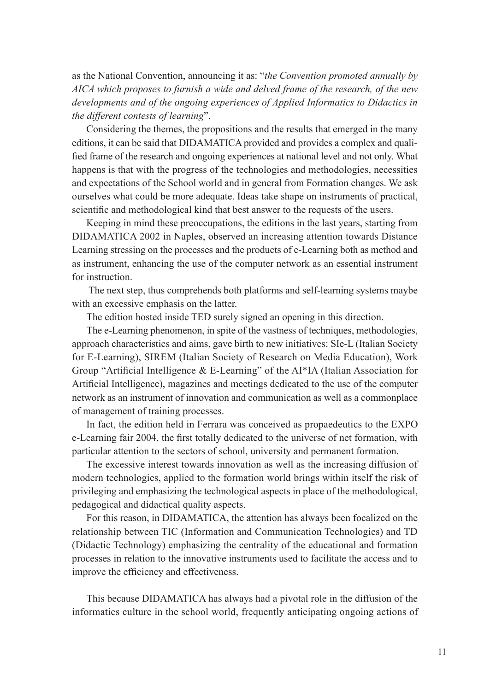as the National Convention, announcing it as: "*the Convention promoted annually by AICA which proposes to furnish a wide and delved frame of the research, of the new developments and of the ongoing experiences of Applied Informatics to Didactics in the different contests of learning*".

Considering the themes, the propositions and the results that emerged in the many editions, it can be said that DIDAMATICA provided and provides a complex and qualified frame of the research and ongoing experiences at national level and not only. What happens is that with the progress of the technologies and methodologies, necessities and expectations of the School world and in general from Formation changes. We ask ourselves what could be more adequate. Ideas take shape on instruments of practical, scientific and methodological kind that best answer to the requests of the users.

Keeping in mind these preoccupations, the editions in the last years, starting from DIDAMATICA 2002 in Naples, observed an increasing attention towards Distance Learning stressing on the processes and the products of e-Learning both as method and as instrument, enhancing the use of the computer network as an essential instrument for instruction.

 The next step, thus comprehends both platforms and self-learning systems maybe with an excessive emphasis on the latter.

The edition hosted inside TED surely signed an opening in this direction.

The e-Learning phenomenon, in spite of the vastness of techniques, methodologies, approach characteristics and aims, gave birth to new initiatives: SIe-L (Italian Society for E-Learning), SIREM (Italian Society of Research on Media Education), Work Group "Artificial Intelligence & E-Learning" of the AI\*IA (Italian Association for Artificial Intelligence), magazines and meetings dedicated to the use of the computer network as an instrument of innovation and communication as well as a commonplace of management of training processes.

In fact, the edition held in Ferrara was conceived as propaedeutics to the EXPO e-Learning fair 2004, the first totally dedicated to the universe of net formation, with particular attention to the sectors of school, university and permanent formation.

The excessive interest towards innovation as well as the increasing diffusion of modern technologies, applied to the formation world brings within itself the risk of privileging and emphasizing the technological aspects in place of the methodological, pedagogical and didactical quality aspects.

For this reason, in DIDAMATICA, the attention has always been focalized on the relationship between TIC (Information and Communication Technologies) and TD (Didactic Technology) emphasizing the centrality of the educational and formation processes in relation to the innovative instruments used to facilitate the access and to improve the efficiency and effectiveness.

This because DIDAMATICA has always had a pivotal role in the diffusion of the informatics culture in the school world, frequently anticipating ongoing actions of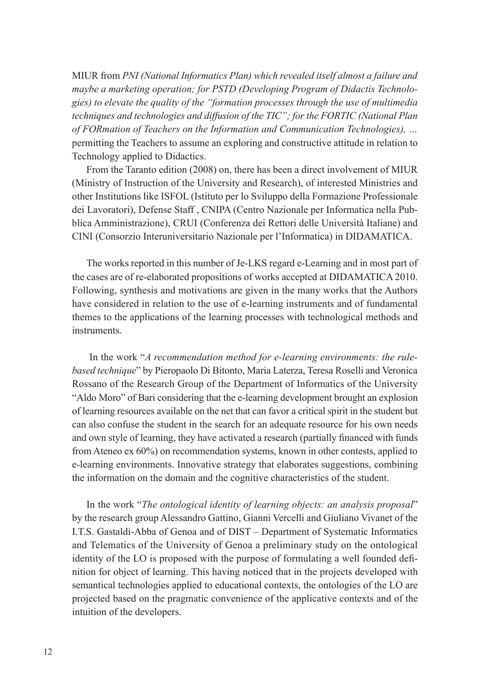MIUR from *PNI (National Informatics Plan) which revealed itself almost a failure and maybe a marketing operation; for PSTD (Developing Program of Didactis Technologies) to elevate the quality of the "formation processes through the use of multimedia techniques and technologies and diffusion of the TIC"; for the FORTIC (National Plan of FORmation of Teachers on the Information and Communication Technologies), …*  permitting the Teachers to assume an exploring and constructive attitude in relation to Technology applied to Didactics.

From the Taranto edition (2008) on, there has been a direct involvement of MIUR (Ministry of Instruction of the University and Research), of interested Ministries and other Institutions like ISFOL (Istituto per lo Sviluppo della Formazione Professionale dei Lavoratori), Defense Staff , CNIPA (Centro Nazionale per Informatica nella Pubblica Amministrazione), CRUI (Conferenza dei Rettori delle Università Italiane) and CINI (Consorzio Interuniversitario Nazionale per l'Informatica) in DIDAMATICA.

The works reported in this number of Je-LKS regard e-Learning and in most part of the cases are of re-elaborated propositions of works accepted at DIDAMATICA 2010. Following, synthesis and motivations are given in the many works that the Authors have considered in relation to the use of e-learning instruments and of fundamental themes to the applications of the learning processes with technological methods and instruments.

 In the work "*A recommendation method for e-learning environments: the rulebased technique*" by Pieropaolo Di Bitonto, Maria Laterza, Teresa Roselli and Veronica Rossano of the Research Group of the Department of Informatics of the University "Aldo Moro" of Bari considering that the e-learning development brought an explosion of learning resources available on the net that can favor a critical spirit in the student but can also confuse the student in the search for an adequate resource for his own needs and own style of learning, they have activated a research (partially financed with funds from Ateneo ex 60%) on recommendation systems, known in other contests, applied to e-learning environments. Innovative strategy that elaborates suggestions, combining the information on the domain and the cognitive characteristics of the student.

In the work "*The ontological identity of learning objects: an analysis proposal*" by the research group Alessandro Gattino, Gianni Vercelli and Giuliano Vivanet of the I.T.S. Gastaldi-Abba of Genoa and of DIST – Department of Systematic Informatics and Telematics of the University of Genoa a preliminary study on the ontological identity of the LO is proposed with the purpose of formulating a well founded definition for object of learning. This having noticed that in the projects developed with semantical technologies applied to educational contexts, the ontologies of the LO are projected based on the pragmatic convenience of the applicative contexts and of the intuition of the developers.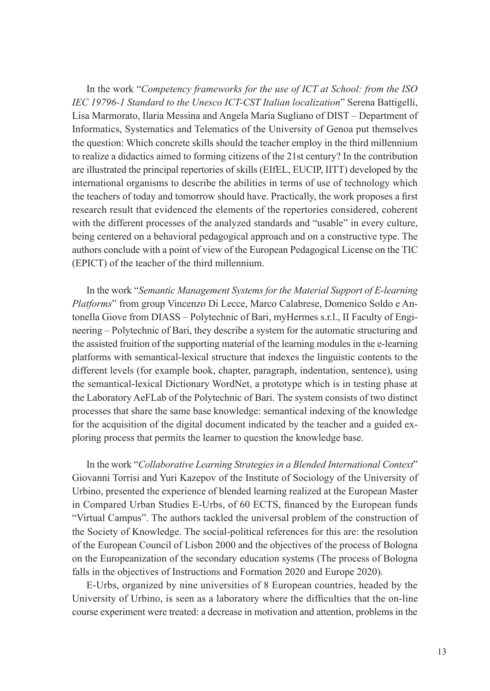In the work "*Competency frameworks for the use of ICT at School: from the ISO IEC 19796-1 Standard to the Unesco ICT-CST Italian localization*" Serena Battigelli, Lisa Marmorato, Ilaria Messina and Angela Maria Sugliano of DIST – Department of Informatics, Systematics and Telematics of the University of Genoa put themselves the question: Which concrete skills should the teacher employ in the third millennium to realize a didactics aimed to forming citizens of the 21st century? In the contribution are illustrated the principal repertories of skills (EIfEL, EUCIP, IITT) developed by the international organisms to describe the abilities in terms of use of technology which the teachers of today and tomorrow should have. Practically, the work proposes a first research result that evidenced the elements of the repertories considered, coherent with the different processes of the analyzed standards and "usable" in every culture, being centered on a behavioral pedagogical approach and on a constructive type. The authors conclude with a point of view of the European Pedagogical License on the TIC (EPICT) of the teacher of the third millennium.

In the work "*Semantic Management Systems for the Material Support of E-learning Platforms*" from group Vincenzo Di Lecce, Marco Calabrese, Domenico Soldo e Antonella Giove from DIASS – Polytechnic of Bari, myHermes s.r.l., II Faculty of Engineering – Polytechnic of Bari, they describe a system for the automatic structuring and the assisted fruition of the supporting material of the learning modules in the e-learning platforms with semantical-lexical structure that indexes the linguistic contents to the different levels (for example book, chapter, paragraph, indentation, sentence), using the semantical-lexical Dictionary WordNet, a prototype which is in testing phase at the Laboratory AeFLab of the Polytechnic of Bari. The system consists of two distinct processes that share the same base knowledge: semantical indexing of the knowledge for the acquisition of the digital document indicated by the teacher and a guided exploring process that permits the learner to question the knowledge base.

In the work "*Collaborative Learning Strategies in a Blended International Context*" Giovanni Torrisi and Yuri Kazepov of the Institute of Sociology of the University of Urbino, presented the experience of blended learning realized at the European Master in Compared Urban Studies E-Urbs, of 60 ECTS, financed by the European funds "Virtual Campus". The authors tackled the universal problem of the construction of the Society of Knowledge. The social-political references for this are: the resolution of the European Council of Lisbon 2000 and the objectives of the process of Bologna on the Europeanization of the secondary education systems (The process of Bologna falls in the objectives of Instructions and Formation 2020 and Europe 2020).

E-Urbs, organized by nine universities of 8 European countries, headed by the University of Urbino, is seen as a laboratory where the difficulties that the on-line course experiment were treated: a decrease in motivation and attention, problems in the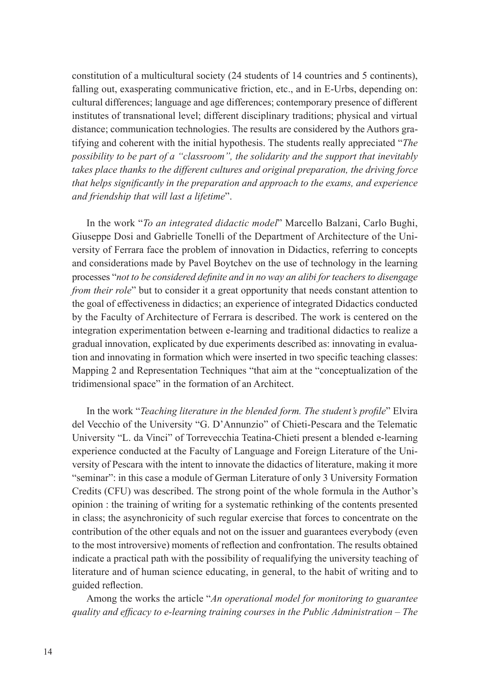constitution of a multicultural society (24 students of 14 countries and 5 continents), falling out, exasperating communicative friction, etc., and in E-Urbs, depending on: cultural differences; language and age differences; contemporary presence of different institutes of transnational level; different disciplinary traditions; physical and virtual distance; communication technologies. The results are considered by the Authors gratifying and coherent with the initial hypothesis. The students really appreciated "*The possibility to be part of a "classroom", the solidarity and the support that inevitably takes place thanks to the different cultures and original preparation, the driving force that helps significantly in the preparation and approach to the exams, and experience and friendship that will last a lifetime*".

In the work "*To an integrated didactic model*" Marcello Balzani, Carlo Bughi, Giuseppe Dosi and Gabrielle Tonelli of the Department of Architecture of the University of Ferrara face the problem of innovation in Didactics, referring to concepts and considerations made by Pavel Boytchev on the use of technology in the learning processes "*not to be considered definite and in no way an alibi for teachers to disengage from their role*" but to consider it a great opportunity that needs constant attention to the goal of effectiveness in didactics; an experience of integrated Didactics conducted by the Faculty of Architecture of Ferrara is described. The work is centered on the integration experimentation between e-learning and traditional didactics to realize a gradual innovation, explicated by due experiments described as: innovating in evaluation and innovating in formation which were inserted in two specific teaching classes: Mapping 2 and Representation Techniques "that aim at the "conceptualization of the tridimensional space" in the formation of an Architect.

In the work "*Teaching literature in the blended form. The student's profile*" Elvira del Vecchio of the University "G. D'Annunzio" of Chieti-Pescara and the Telematic University "L. da Vinci" of Torrevecchia Teatina-Chieti present a blended e-learning experience conducted at the Faculty of Language and Foreign Literature of the University of Pescara with the intent to innovate the didactics of literature, making it more "seminar": in this case a module of German Literature of only 3 University Formation Credits (CFU) was described. The strong point of the whole formula in the Author's opinion : the training of writing for a systematic rethinking of the contents presented in class; the asynchronicity of such regular exercise that forces to concentrate on the contribution of the other equals and not on the issuer and guarantees everybody (even to the most introversive) moments of reflection and confrontation. The results obtained indicate a practical path with the possibility of requalifying the university teaching of literature and of human science educating, in general, to the habit of writing and to guided reflection.

Among the works the article "*An operational model for monitoring to guarantee quality and efficacy to e-learning training courses in the Public Administration – The*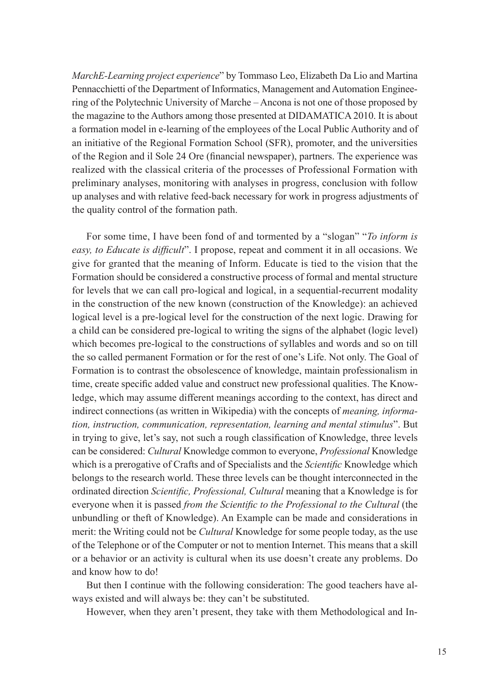*MarchE-Learning project experience*" by Tommaso Leo, Elizabeth Da Lio and Martina Pennacchietti of the Department of Informatics, Management and Automation Engineering of the Polytechnic University of Marche – Ancona is not one of those proposed by the magazine to the Authors among those presented at DIDAMATICA 2010. It is about a formation model in e-learning of the employees of the Local Public Authority and of an initiative of the Regional Formation School (SFR), promoter, and the universities of the Region and il Sole 24 Ore (financial newspaper), partners. The experience was realized with the classical criteria of the processes of Professional Formation with preliminary analyses, monitoring with analyses in progress, conclusion with follow up analyses and with relative feed-back necessary for work in progress adjustments of the quality control of the formation path.

For some time, I have been fond of and tormented by a "slogan" "*To inform is easy, to Educate is difficult*". I propose, repeat and comment it in all occasions. We give for granted that the meaning of Inform. Educate is tied to the vision that the Formation should be considered a constructive process of formal and mental structure for levels that we can call pro-logical and logical, in a sequential-recurrent modality in the construction of the new known (construction of the Knowledge): an achieved logical level is a pre-logical level for the construction of the next logic. Drawing for a child can be considered pre-logical to writing the signs of the alphabet (logic level) which becomes pre-logical to the constructions of syllables and words and so on till the so called permanent Formation or for the rest of one's Life. Not only. The Goal of Formation is to contrast the obsolescence of knowledge, maintain professionalism in time, create specific added value and construct new professional qualities. The Knowledge, which may assume different meanings according to the context, has direct and indirect connections (as written in Wikipedia) with the concepts of *meaning, information, instruction, communication, representation, learning and mental stimulus*". But in trying to give, let's say, not such a rough classification of Knowledge, three levels can be considered: *Cultural* Knowledge common to everyone, *Professional* Knowledge which is a prerogative of Crafts and of Specialists and the *Scientific* Knowledge which belongs to the research world. These three levels can be thought interconnected in the ordinated direction *Scientific, Professional, Cultural* meaning that a Knowledge is for everyone when it is passed *from the Scientific to the Professional to the Cultural* (the unbundling or theft of Knowledge). An Example can be made and considerations in merit: the Writing could not be *Cultural* Knowledge for some people today, as the use of the Telephone or of the Computer or not to mention Internet. This means that a skill or a behavior or an activity is cultural when its use doesn't create any problems. Do and know how to do!

But then I continue with the following consideration: The good teachers have always existed and will always be: they can't be substituted.

However, when they aren't present, they take with them Methodological and In-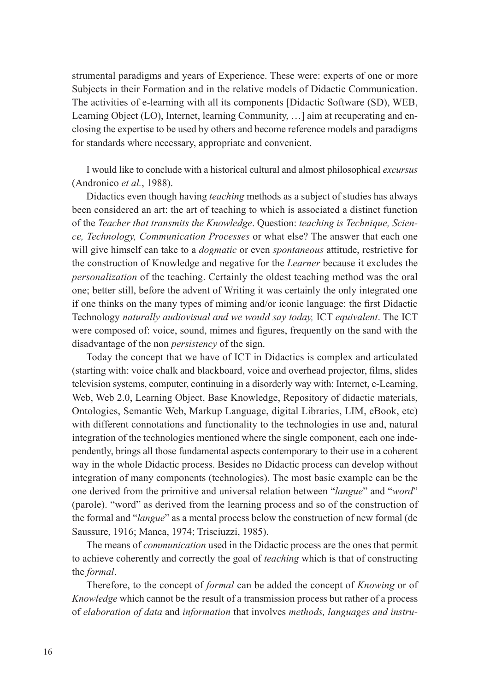strumental paradigms and years of Experience. These were: experts of one or more Subjects in their Formation and in the relative models of Didactic Communication. The activities of e-learning with all its components [Didactic Software (SD), WEB, Learning Object (LO), Internet, learning Community, …] aim at recuperating and enclosing the expertise to be used by others and become reference models and paradigms for standards where necessary, appropriate and convenient.

I would like to conclude with a historical cultural and almost philosophical *excursus* (Andronico *et al.*, 1988).

Didactics even though having *teaching* methods as a subject of studies has always been considered an art: the art of teaching to which is associated a distinct function of the *Teacher that transmits the Knowledge*. Question: *teaching is Technique, Science, Technology, Communication Processes* or what else? The answer that each one will give himself can take to a *dogmatic* or even *spontaneous* attitude, restrictive for the construction of Knowledge and negative for the *Learner* because it excludes the *personalization* of the teaching. Certainly the oldest teaching method was the oral one; better still, before the advent of Writing it was certainly the only integrated one if one thinks on the many types of miming and/or iconic language: the first Didactic Technology *naturally audiovisual and we would say today,* ICT *equivalent*. The ICT were composed of: voice, sound, mimes and figures, frequently on the sand with the disadvantage of the non *persistency* of the sign.

Today the concept that we have of ICT in Didactics is complex and articulated (starting with: voice chalk and blackboard, voice and overhead projector, films, slides television systems, computer, continuing in a disorderly way with: Internet, e-Learning, Web, Web 2.0, Learning Object, Base Knowledge, Repository of didactic materials, Ontologies, Semantic Web, Markup Language, digital Libraries, LIM, eBook, etc) with different connotations and functionality to the technologies in use and, natural integration of the technologies mentioned where the single component, each one independently, brings all those fundamental aspects contemporary to their use in a coherent way in the whole Didactic process. Besides no Didactic process can develop without integration of many components (technologies). The most basic example can be the one derived from the primitive and universal relation between "*langue*" and "*word*" (parole). "word" as derived from the learning process and so of the construction of the formal and "*langue*" as a mental process below the construction of new formal (de Saussure, 1916; Manca, 1974; Trisciuzzi, 1985).

The means of *communication* used in the Didactic process are the ones that permit to achieve coherently and correctly the goal of *teaching* which is that of constructing the *formal*.

Therefore, to the concept of *formal* can be added the concept of *Knowing* or of *Knowledge* which cannot be the result of a transmission process but rather of a process of *elaboration of data* and *information* that involves *methods, languages and instru-*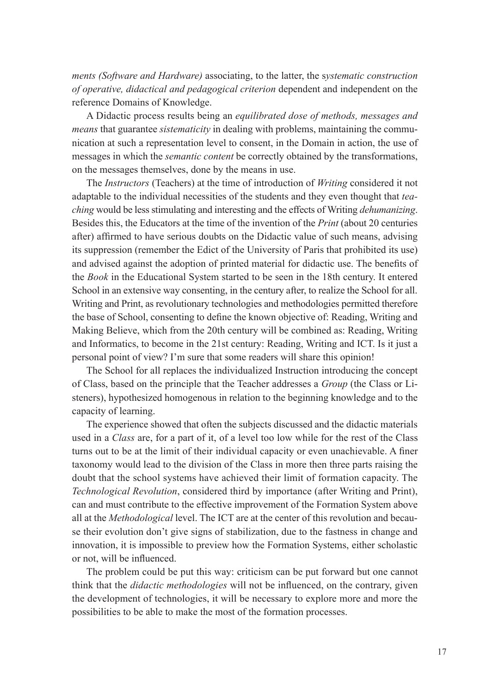*ments (Software and Hardware)* associating, to the latter, the s*ystematic construction of operative, didactical and pedagogical criterion* dependent and independent on the reference Domains of Knowledge.

A Didactic process results being an *equilibrated dose of methods, messages and means* that guarantee *sistematicity* in dealing with problems, maintaining the communication at such a representation level to consent, in the Domain in action, the use of messages in which the *semantic content* be correctly obtained by the transformations, on the messages themselves, done by the means in use.

The *Instructors* (Teachers) at the time of introduction of *Writing* considered it not adaptable to the individual necessities of the students and they even thought that *teaching* would be less stimulating and interesting and the effects of Writing *dehumanizing*. Besides this, the Educators at the time of the invention of the *Print* (about 20 centuries after) affirmed to have serious doubts on the Didactic value of such means, advising its suppression (remember the Edict of the University of Paris that prohibited its use) and advised against the adoption of printed material for didactic use. The benefits of the *Book* in the Educational System started to be seen in the 18th century. It entered School in an extensive way consenting, in the century after, to realize the School for all. Writing and Print, as revolutionary technologies and methodologies permitted therefore the base of School, consenting to define the known objective of: Reading, Writing and Making Believe, which from the 20th century will be combined as: Reading, Writing and Informatics, to become in the 21st century: Reading, Writing and ICT. Is it just a personal point of view? I'm sure that some readers will share this opinion!

The School for all replaces the individualized Instruction introducing the concept of Class, based on the principle that the Teacher addresses a *Group* (the Class or Listeners), hypothesized homogenous in relation to the beginning knowledge and to the capacity of learning.

The experience showed that often the subjects discussed and the didactic materials used in a *Class* are, for a part of it, of a level too low while for the rest of the Class turns out to be at the limit of their individual capacity or even unachievable. A finer taxonomy would lead to the division of the Class in more then three parts raising the doubt that the school systems have achieved their limit of formation capacity. The *Technological Revolution*, considered third by importance (after Writing and Print), can and must contribute to the effective improvement of the Formation System above all at the *Methodological* level. The ICT are at the center of this revolution and because their evolution don't give signs of stabilization, due to the fastness in change and innovation, it is impossible to preview how the Formation Systems, either scholastic or not, will be influenced.

The problem could be put this way: criticism can be put forward but one cannot think that the *didactic methodologies* will not be influenced, on the contrary, given the development of technologies, it will be necessary to explore more and more the possibilities to be able to make the most of the formation processes.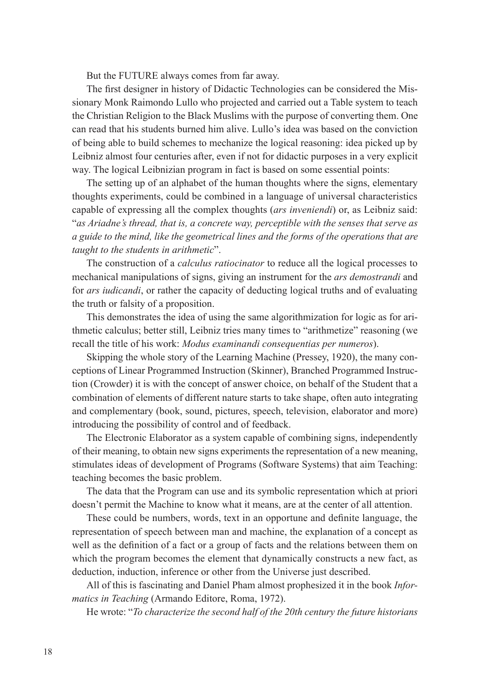But the FUTURE always comes from far away.

The first designer in history of Didactic Technologies can be considered the Missionary Monk Raimondo Lullo who projected and carried out a Table system to teach the Christian Religion to the Black Muslims with the purpose of converting them. One can read that his students burned him alive. Lullo's idea was based on the conviction of being able to build schemes to mechanize the logical reasoning: idea picked up by Leibniz almost four centuries after, even if not for didactic purposes in a very explicit way. The logical Leibnizian program in fact is based on some essential points:

The setting up of an alphabet of the human thoughts where the signs, elementary thoughts experiments, could be combined in a language of universal characteristics capable of expressing all the complex thoughts (*ars inveniendi*) or, as Leibniz said: "*as Ariadne's thread, that is, a concrete way, perceptible with the senses that serve as a guide to the mind, like the geometrical lines and the forms of the operations that are taught to the students in arithmetic*".

The construction of a *calculus ratiocinator* to reduce all the logical processes to mechanical manipulations of signs, giving an instrument for the *ars demostrandi* and for *ars iudicandi*, or rather the capacity of deducting logical truths and of evaluating the truth or falsity of a proposition.

This demonstrates the idea of using the same algorithmization for logic as for arithmetic calculus; better still, Leibniz tries many times to "arithmetize" reasoning (we recall the title of his work: *Modus examinandi consequentias per numeros*).

Skipping the whole story of the Learning Machine (Pressey, 1920), the many conceptions of Linear Programmed Instruction (Skinner), Branched Programmed Instruction (Crowder) it is with the concept of answer choice, on behalf of the Student that a combination of elements of different nature starts to take shape, often auto integrating and complementary (book, sound, pictures, speech, television, elaborator and more) introducing the possibility of control and of feedback.

The Electronic Elaborator as a system capable of combining signs, independently of their meaning, to obtain new signs experiments the representation of a new meaning, stimulates ideas of development of Programs (Software Systems) that aim Teaching: teaching becomes the basic problem.

The data that the Program can use and its symbolic representation which at priori doesn't permit the Machine to know what it means, are at the center of all attention.

These could be numbers, words, text in an opportune and definite language, the representation of speech between man and machine, the explanation of a concept as well as the definition of a fact or a group of facts and the relations between them on which the program becomes the element that dynamically constructs a new fact, as deduction, induction, inference or other from the Universe just described.

All of this is fascinating and Daniel Pham almost prophesized it in the book *Informatics in Teaching* (Armando Editore, Roma, 1972).

He wrote: "*To characterize the second half of the 20th century the future historians*